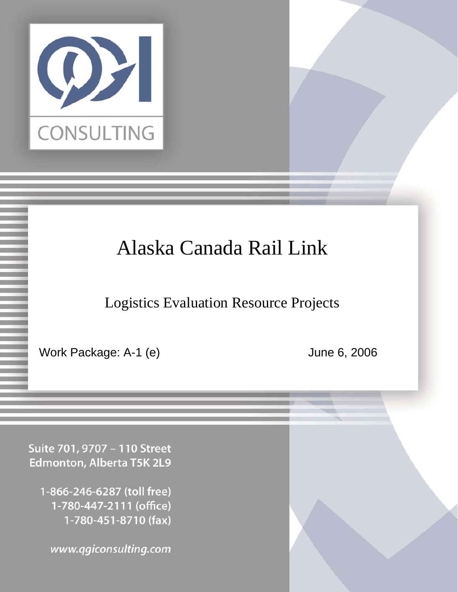

# Alaska Canada Rail Link

Logistics Evaluation Resource Projects

Work Package: A-1 (e) June 6, 2006

Suite 701, 9707 - 110 Street Edmonton, Alberta T5K 2L9

1-866-246-6287 (toll free) 1-780-447-2111 (office) 1-780-451-8710 (fax)

www.qgiconsulting.com Confidential Page 1 6/6/2006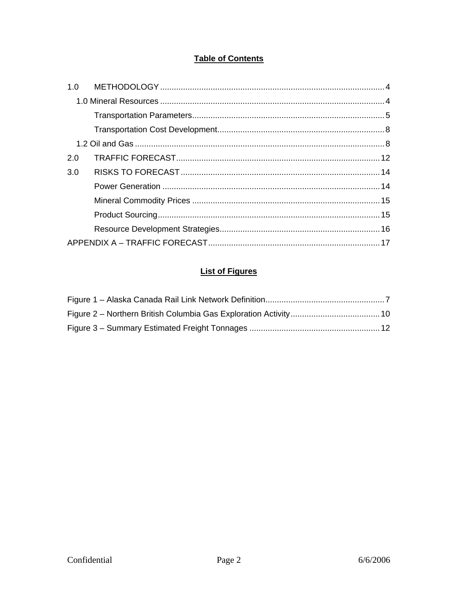# **Table of Contents**

| 2.0 |  |  |  |  |
|-----|--|--|--|--|
| 3.0 |  |  |  |  |
|     |  |  |  |  |
|     |  |  |  |  |
|     |  |  |  |  |
|     |  |  |  |  |
|     |  |  |  |  |

# **List of Figures**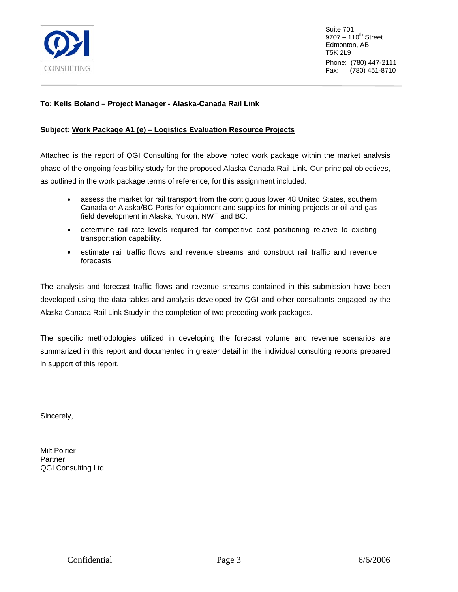

Suite 701  $9707 - 110^{th}$  Street Edmonton, AB T5K 2L9 Phone: (780) 447-2111 Fax: (780) 451-8710

#### **To: Kells Boland – Project Manager - Alaska-Canada Rail Link**

#### **Subject: Work Package A1 (e) – Logistics Evaluation Resource Projects**

Attached is the report of QGI Consulting for the above noted work package within the market analysis phase of the ongoing feasibility study for the proposed Alaska-Canada Rail Link. Our principal objectives, as outlined in the work package terms of reference, for this assignment included:

- assess the market for rail transport from the contiguous lower 48 United States, southern Canada or Alaska/BC Ports for equipment and supplies for mining projects or oil and gas field development in Alaska, Yukon, NWT and BC.
- determine rail rate levels required for competitive cost positioning relative to existing transportation capability.
- estimate rail traffic flows and revenue streams and construct rail traffic and revenue forecasts

The analysis and forecast traffic flows and revenue streams contained in this submission have been developed using the data tables and analysis developed by QGI and other consultants engaged by the Alaska Canada Rail Link Study in the completion of two preceding work packages.

The specific methodologies utilized in developing the forecast volume and revenue scenarios are summarized in this report and documented in greater detail in the individual consulting reports prepared in support of this report.

Sincerely,

Milt Poirier **Partner** QGI Consulting Ltd.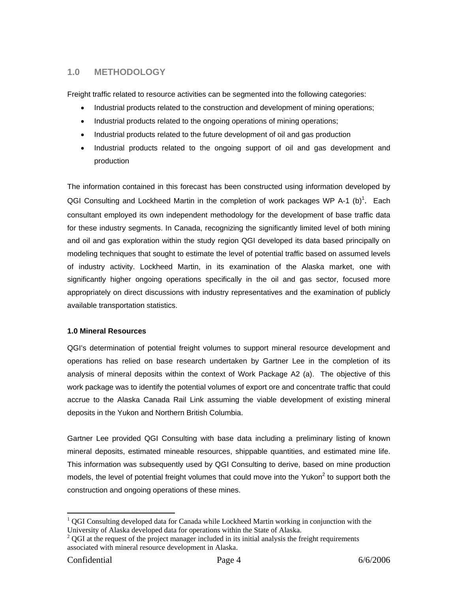# <span id="page-3-0"></span>**1.0 METHODOLOGY**

Freight traffic related to resource activities can be segmented into the following categories:

- Industrial products related to the construction and development of mining operations;
- Industrial products related to the ongoing operations of mining operations;
- Industrial products related to the future development of oil and gas production
- Industrial products related to the ongoing support of oil and gas development and production

The information contained in this forecast has been constructed using information developed by QGI Consulting and Lockheed Martin in the completion of work packages WP A-[1](#page-3-1) (b)<sup>1</sup>. Each consultant employed its own independent methodology for the development of base traffic data for these industry segments. In Canada, recognizing the significantly limited level of both mining and oil and gas exploration within the study region QGI developed its data based principally on modeling techniques that sought to estimate the level of potential traffic based on assumed levels of industry activity. Lockheed Martin, in its examination of the Alaska market, one with significantly higher ongoing operations specifically in the oil and gas sector, focused more appropriately on direct discussions with industry representatives and the examination of publicly available transportation statistics.

#### **1.0 Mineral Resources**

QGI's determination of potential freight volumes to support mineral resource development and operations has relied on base research undertaken by Gartner Lee in the completion of its analysis of mineral deposits within the context of Work Package A2 (a). The objective of this work package was to identify the potential volumes of export ore and concentrate traffic that could accrue to the Alaska Canada Rail Link assuming the viable development of existing mineral deposits in the Yukon and Northern British Columbia.

Gartner Lee provided QGI Consulting with base data including a preliminary listing of known mineral deposits, estimated mineable resources, shippable quantities, and estimated mine life. This information was subsequently used by QGI Consulting to derive, based on mine production models, the level of potential freight volumes that could move into the Yukon<sup>2</sup> to support both the construction and ongoing operations of these mines.

 $\overline{a}$ 

<span id="page-3-1"></span> $1$  QGI Consulting developed data for Canada while Lockheed Martin working in conjunction with the University of Alaska developed data for operations within the State of Alaska. 2

<span id="page-3-2"></span> $^{2}$  QGI at the request of the project manager included in its initial analysis the freight requirements associated with mineral resource development in Alaska.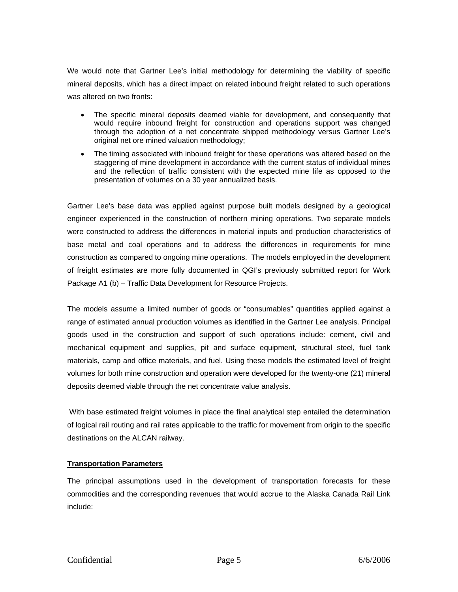<span id="page-4-0"></span>We would note that Gartner Lee's initial methodology for determining the viability of specific mineral deposits, which has a direct impact on related inbound freight related to such operations was altered on two fronts:

- The specific mineral deposits deemed viable for development, and consequently that would require inbound freight for construction and operations support was changed through the adoption of a net concentrate shipped methodology versus Gartner Lee's original net ore mined valuation methodology;
- The timing associated with inbound freight for these operations was altered based on the staggering of mine development in accordance with the current status of individual mines and the reflection of traffic consistent with the expected mine life as opposed to the presentation of volumes on a 30 year annualized basis.

Gartner Lee's base data was applied against purpose built models designed by a geological engineer experienced in the construction of northern mining operations. Two separate models were constructed to address the differences in material inputs and production characteristics of base metal and coal operations and to address the differences in requirements for mine construction as compared to ongoing mine operations. The models employed in the development of freight estimates are more fully documented in QGI's previously submitted report for Work Package A1 (b) – Traffic Data Development for Resource Projects.

The models assume a limited number of goods or "consumables" quantities applied against a range of estimated annual production volumes as identified in the Gartner Lee analysis. Principal goods used in the construction and support of such operations include: cement, civil and mechanical equipment and supplies, pit and surface equipment, structural steel, fuel tank materials, camp and office materials, and fuel. Using these models the estimated level of freight volumes for both mine construction and operation were developed for the twenty-one (21) mineral deposits deemed viable through the net concentrate value analysis.

With base estimated freight volumes in place the final analytical step entailed the determination of logical rail routing and rail rates applicable to the traffic for movement from origin to the specific destinations on the ALCAN railway.

#### **Transportation Parameters**

The principal assumptions used in the development of transportation forecasts for these commodities and the corresponding revenues that would accrue to the Alaska Canada Rail Link include: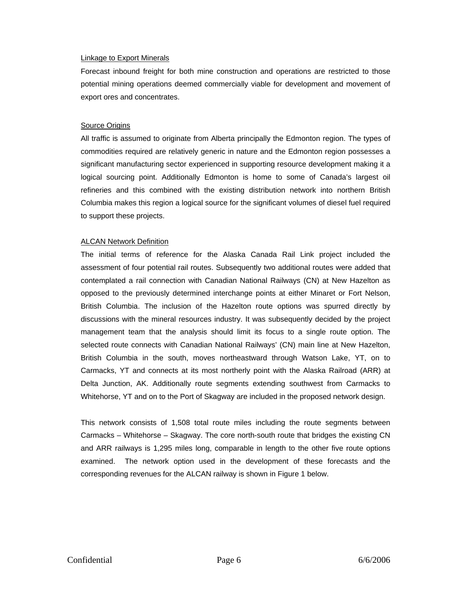#### Linkage to Export Minerals

Forecast inbound freight for both mine construction and operations are restricted to those potential mining operations deemed commercially viable for development and movement of export ores and concentrates.

#### Source Origins

All traffic is assumed to originate from Alberta principally the Edmonton region. The types of commodities required are relatively generic in nature and the Edmonton region possesses a significant manufacturing sector experienced in supporting resource development making it a logical sourcing point. Additionally Edmonton is home to some of Canada's largest oil refineries and this combined with the existing distribution network into northern British Columbia makes this region a logical source for the significant volumes of diesel fuel required to support these projects.

#### **ALCAN Network Definition**

The initial terms of reference for the Alaska Canada Rail Link project included the assessment of four potential rail routes. Subsequently two additional routes were added that contemplated a rail connection with Canadian National Railways (CN) at New Hazelton as opposed to the previously determined interchange points at either Minaret or Fort Nelson, British Columbia. The inclusion of the Hazelton route options was spurred directly by discussions with the mineral resources industry. It was subsequently decided by the project management team that the analysis should limit its focus to a single route option. The selected route connects with Canadian National Railways' (CN) main line at New Hazelton, British Columbia in the south, moves northeastward through Watson Lake, YT, on to Carmacks, YT and connects at its most northerly point with the Alaska Railroad (ARR) at Delta Junction, AK. Additionally route segments extending southwest from Carmacks to Whitehorse, YT and on to the Port of Skagway are included in the proposed network design.

This network consists of 1,508 total route miles including the route segments between Carmacks – Whitehorse – Skagway. The core north-south route that bridges the existing CN and ARR railways is 1,295 miles long, comparable in length to the other five route options examined. The network option used in the development of these forecasts and the corresponding revenues for the ALCAN railway is shown in Figure 1 below.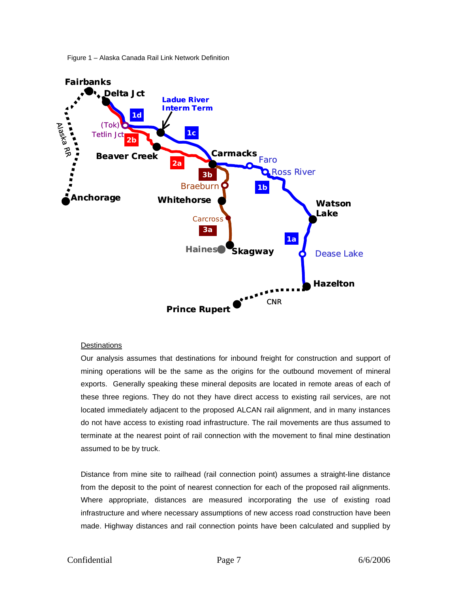

<span id="page-6-0"></span>

#### **Destinations**

Our analysis assumes that destinations for inbound freight for construction and support of mining operations will be the same as the origins for the outbound movement of mineral exports. Generally speaking these mineral deposits are located in remote areas of each of these three regions. They do not they have direct access to existing rail services, are not located immediately adjacent to the proposed ALCAN rail alignment, and in many instances do not have access to existing road infrastructure. The rail movements are thus assumed to terminate at the nearest point of rail connection with the movement to final mine destination assumed to be by truck.

Distance from mine site to railhead (rail connection point) assumes a straight-line distance from the deposit to the point of nearest connection for each of the proposed rail alignments. Where appropriate, distances are measured incorporating the use of existing road infrastructure and where necessary assumptions of new access road construction have been made. Highway distances and rail connection points have been calculated and supplied by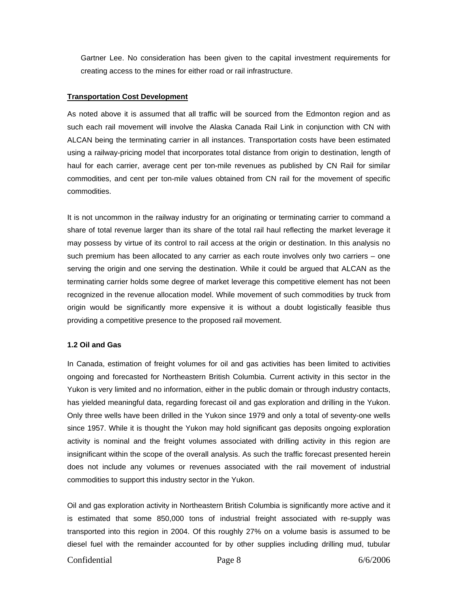<span id="page-7-0"></span>Gartner Lee. No consideration has been given to the capital investment requirements for creating access to the mines for either road or rail infrastructure.

#### **Transportation Cost Development**

As noted above it is assumed that all traffic will be sourced from the Edmonton region and as such each rail movement will involve the Alaska Canada Rail Link in conjunction with CN with ALCAN being the terminating carrier in all instances. Transportation costs have been estimated using a railway-pricing model that incorporates total distance from origin to destination, length of haul for each carrier, average cent per ton-mile revenues as published by CN Rail for similar commodities, and cent per ton-mile values obtained from CN rail for the movement of specific commodities.

It is not uncommon in the railway industry for an originating or terminating carrier to command a share of total revenue larger than its share of the total rail haul reflecting the market leverage it may possess by virtue of its control to rail access at the origin or destination. In this analysis no such premium has been allocated to any carrier as each route involves only two carriers – one serving the origin and one serving the destination. While it could be argued that ALCAN as the terminating carrier holds some degree of market leverage this competitive element has not been recognized in the revenue allocation model. While movement of such commodities by truck from origin would be significantly more expensive it is without a doubt logistically feasible thus providing a competitive presence to the proposed rail movement.

#### **1.2 Oil and Gas**

In Canada, estimation of freight volumes for oil and gas activities has been limited to activities ongoing and forecasted for Northeastern British Columbia. Current activity in this sector in the Yukon is very limited and no information, either in the public domain or through industry contacts, has yielded meaningful data, regarding forecast oil and gas exploration and drilling in the Yukon. Only three wells have been drilled in the Yukon since 1979 and only a total of seventy-one wells since 1957. While it is thought the Yukon may hold significant gas deposits ongoing exploration activity is nominal and the freight volumes associated with drilling activity in this region are insignificant within the scope of the overall analysis. As such the traffic forecast presented herein does not include any volumes or revenues associated with the rail movement of industrial commodities to support this industry sector in the Yukon.

Oil and gas exploration activity in Northeastern British Columbia is significantly more active and it is estimated that some 850,000 tons of industrial freight associated with re-supply was transported into this region in 2004. Of this roughly 27% on a volume basis is assumed to be diesel fuel with the remainder accounted for by other supplies including drilling mud, tubular

# Confidential Page 8 6/6/2006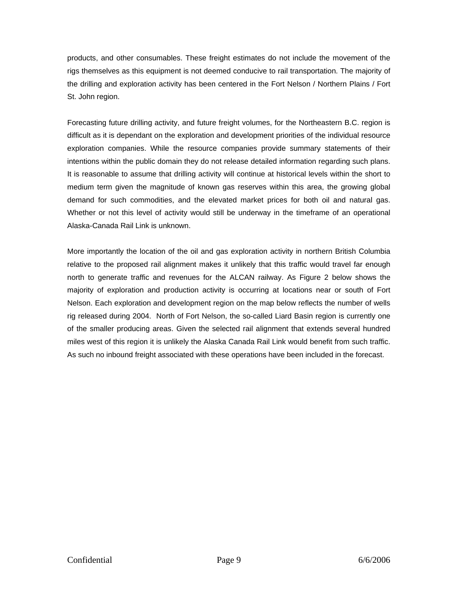products, and other consumables. These freight estimates do not include the movement of the rigs themselves as this equipment is not deemed conducive to rail transportation. The majority of the drilling and exploration activity has been centered in the Fort Nelson / Northern Plains / Fort St. John region.

Forecasting future drilling activity, and future freight volumes, for the Northeastern B.C. region is difficult as it is dependant on the exploration and development priorities of the individual resource exploration companies. While the resource companies provide summary statements of their intentions within the public domain they do not release detailed information regarding such plans. It is reasonable to assume that drilling activity will continue at historical levels within the short to medium term given the magnitude of known gas reserves within this area, the growing global demand for such commodities, and the elevated market prices for both oil and natural gas. Whether or not this level of activity would still be underway in the timeframe of an operational Alaska-Canada Rail Link is unknown.

More importantly the location of the oil and gas exploration activity in northern British Columbia relative to the proposed rail alignment makes it unlikely that this traffic would travel far enough north to generate traffic and revenues for the ALCAN railway. As Figure 2 below shows the majority of exploration and production activity is occurring at locations near or south of Fort Nelson. Each exploration and development region on the map below reflects the number of wells rig released during 2004. North of Fort Nelson, the so-called Liard Basin region is currently one of the smaller producing areas. Given the selected rail alignment that extends several hundred miles west of this region it is unlikely the Alaska Canada Rail Link would benefit from such traffic. As such no inbound freight associated with these operations have been included in the forecast.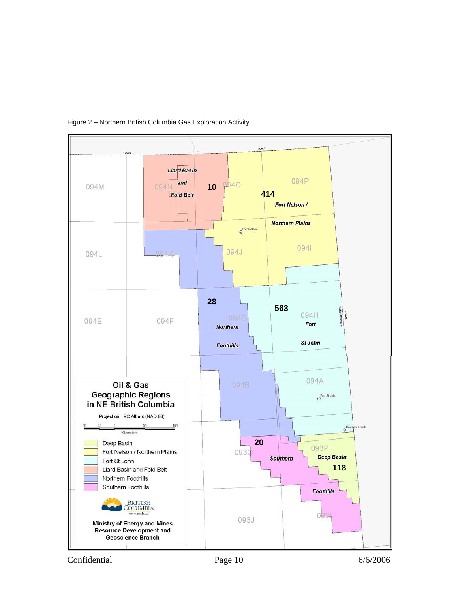

## <span id="page-9-0"></span>Figure 2 – Northern British Columbia Gas Exploration Activity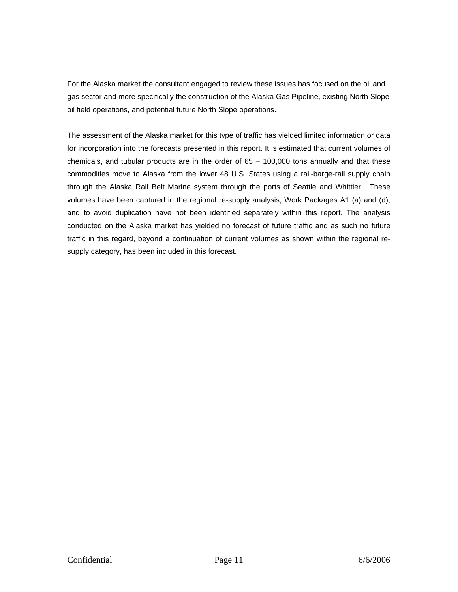For the Alaska market the consultant engaged to review these issues has focused on the oil and gas sector and more specifically the construction of the Alaska Gas Pipeline, existing North Slope oil field operations, and potential future North Slope operations.

The assessment of the Alaska market for this type of traffic has yielded limited information or data for incorporation into the forecasts presented in this report. It is estimated that current volumes of chemicals, and tubular products are in the order of  $65 - 100,000$  tons annually and that these commodities move to Alaska from the lower 48 U.S. States using a rail-barge-rail supply chain through the Alaska Rail Belt Marine system through the ports of Seattle and Whittier. These volumes have been captured in the regional re-supply analysis, Work Packages A1 (a) and (d), and to avoid duplication have not been identified separately within this report. The analysis conducted on the Alaska market has yielded no forecast of future traffic and as such no future traffic in this regard, beyond a continuation of current volumes as shown within the regional resupply category, has been included in this forecast.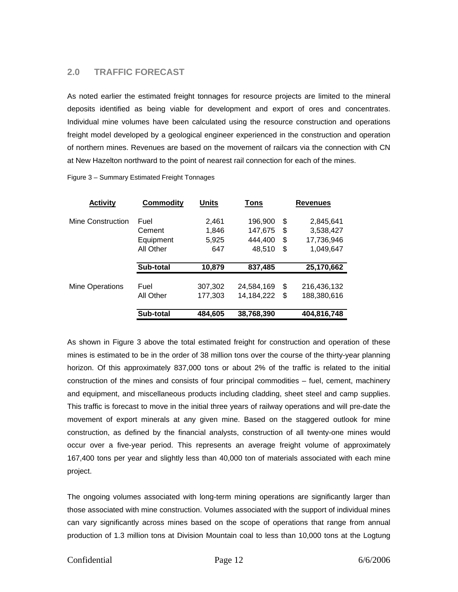# <span id="page-11-0"></span>**2.0 TRAFFIC FORECAST**

As noted earlier the estimated freight tonnages for resource projects are limited to the mineral deposits identified as being viable for development and export of ores and concentrates. Individual mine volumes have been calculated using the resource construction and operations freight model developed by a geological engineer experienced in the construction and operation of northern mines. Revenues are based on the movement of railcars via the connection with CN at New Hazelton northward to the point of nearest rail connection for each of the mines.

| <b>Activity</b>   | <b>Commodity</b> | Units   | Tons         | <b>Revenues</b>   |
|-------------------|------------------|---------|--------------|-------------------|
| Mine Construction | Fuel             | 2,461   | 196,900      | \$<br>2,845,641   |
|                   | Cement           | 1,846   | 147,675      | \$<br>3,538,427   |
|                   | Equipment        | 5,925   | 444,400      | \$<br>17,736,946  |
|                   | All Other        | 647     | 48,510       | \$<br>1,049,647   |
|                   |                  |         |              |                   |
|                   | Sub-total        | 10,879  | 837,485      | 25,170,662        |
|                   |                  |         |              |                   |
| Mine Operations   | Fuel             | 307,302 | 24,584,169   | \$<br>216,436,132 |
|                   | All Other        | 177,303 | 14, 184, 222 | \$<br>188,380,616 |
|                   | Sub-total        | 484,605 | 38,768,390   | 404,816,748       |

Figure 3 – Summary Estimated Freight Tonnages

As shown in Figure 3 above the total estimated freight for construction and operation of these mines is estimated to be in the order of 38 million tons over the course of the thirty-year planning horizon. Of this approximately 837,000 tons or about 2% of the traffic is related to the initial construction of the mines and consists of four principal commodities – fuel, cement, machinery and equipment, and miscellaneous products including cladding, sheet steel and camp supplies. This traffic is forecast to move in the initial three years of railway operations and will pre-date the movement of export minerals at any given mine. Based on the staggered outlook for mine construction, as defined by the financial analysts, construction of all twenty-one mines would occur over a five-year period. This represents an average freight volume of approximately 167,400 tons per year and slightly less than 40,000 ton of materials associated with each mine project.

The ongoing volumes associated with long-term mining operations are significantly larger than those associated with mine construction. Volumes associated with the support of individual mines can vary significantly across mines based on the scope of operations that range from annual production of 1.3 million tons at Division Mountain coal to less than 10,000 tons at the Logtung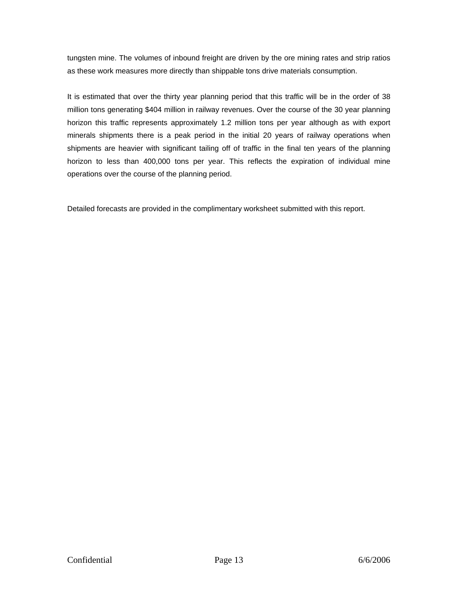tungsten mine. The volumes of inbound freight are driven by the ore mining rates and strip ratios as these work measures more directly than shippable tons drive materials consumption.

It is estimated that over the thirty year planning period that this traffic will be in the order of 38 million tons generating \$404 million in railway revenues. Over the course of the 30 year planning horizon this traffic represents approximately 1.2 million tons per year although as with export minerals shipments there is a peak period in the initial 20 years of railway operations when shipments are heavier with significant tailing off of traffic in the final ten years of the planning horizon to less than 400,000 tons per year. This reflects the expiration of individual mine operations over the course of the planning period.

Detailed forecasts are provided in the complimentary worksheet submitted with this report.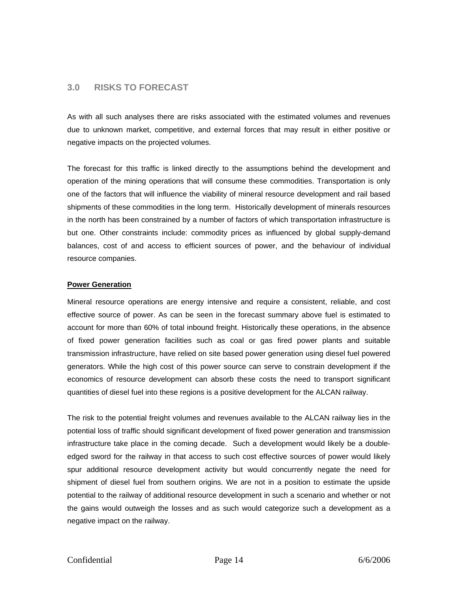# <span id="page-13-0"></span>**3.0 RISKS TO FORECAST**

As with all such analyses there are risks associated with the estimated volumes and revenues due to unknown market, competitive, and external forces that may result in either positive or negative impacts on the projected volumes.

The forecast for this traffic is linked directly to the assumptions behind the development and operation of the mining operations that will consume these commodities. Transportation is only one of the factors that will influence the viability of mineral resource development and rail based shipments of these commodities in the long term. Historically development of minerals resources in the north has been constrained by a number of factors of which transportation infrastructure is but one. Other constraints include: commodity prices as influenced by global supply-demand balances, cost of and access to efficient sources of power, and the behaviour of individual resource companies.

#### **Power Generation**

Mineral resource operations are energy intensive and require a consistent, reliable, and cost effective source of power. As can be seen in the forecast summary above fuel is estimated to account for more than 60% of total inbound freight. Historically these operations, in the absence of fixed power generation facilities such as coal or gas fired power plants and suitable transmission infrastructure, have relied on site based power generation using diesel fuel powered generators. While the high cost of this power source can serve to constrain development if the economics of resource development can absorb these costs the need to transport significant quantities of diesel fuel into these regions is a positive development for the ALCAN railway.

The risk to the potential freight volumes and revenues available to the ALCAN railway lies in the potential loss of traffic should significant development of fixed power generation and transmission infrastructure take place in the coming decade. Such a development would likely be a doubleedged sword for the railway in that access to such cost effective sources of power would likely spur additional resource development activity but would concurrently negate the need for shipment of diesel fuel from southern origins. We are not in a position to estimate the upside potential to the railway of additional resource development in such a scenario and whether or not the gains would outweigh the losses and as such would categorize such a development as a negative impact on the railway.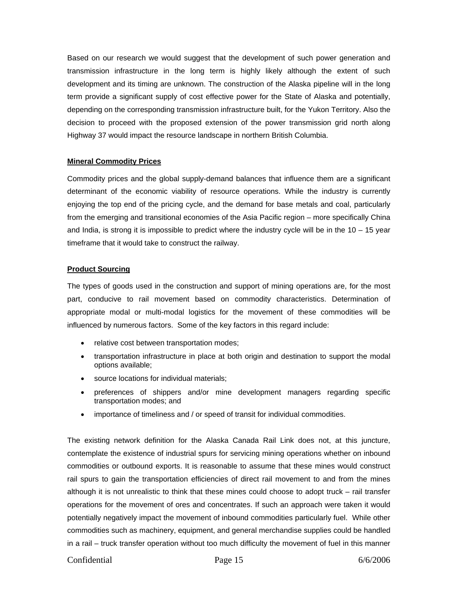<span id="page-14-0"></span>Based on our research we would suggest that the development of such power generation and transmission infrastructure in the long term is highly likely although the extent of such development and its timing are unknown. The construction of the Alaska pipeline will in the long term provide a significant supply of cost effective power for the State of Alaska and potentially, depending on the corresponding transmission infrastructure built, for the Yukon Territory. Also the decision to proceed with the proposed extension of the power transmission grid north along Highway 37 would impact the resource landscape in northern British Columbia.

#### **Mineral Commodity Prices**

Commodity prices and the global supply-demand balances that influence them are a significant determinant of the economic viability of resource operations. While the industry is currently enjoying the top end of the pricing cycle, and the demand for base metals and coal, particularly from the emerging and transitional economies of the Asia Pacific region – more specifically China and India, is strong it is impossible to predict where the industry cycle will be in the 10 – 15 year timeframe that it would take to construct the railway.

#### **Product Sourcing**

The types of goods used in the construction and support of mining operations are, for the most part, conducive to rail movement based on commodity characteristics. Determination of appropriate modal or multi-modal logistics for the movement of these commodities will be influenced by numerous factors. Some of the key factors in this regard include:

- relative cost between transportation modes;
- transportation infrastructure in place at both origin and destination to support the modal options available;
- source locations for individual materials;
- preferences of shippers and/or mine development managers regarding specific transportation modes; and
- importance of timeliness and / or speed of transit for individual commodities.

The existing network definition for the Alaska Canada Rail Link does not, at this juncture, contemplate the existence of industrial spurs for servicing mining operations whether on inbound commodities or outbound exports. It is reasonable to assume that these mines would construct rail spurs to gain the transportation efficiencies of direct rail movement to and from the mines although it is not unrealistic to think that these mines could choose to adopt truck – rail transfer operations for the movement of ores and concentrates. If such an approach were taken it would potentially negatively impact the movement of inbound commodities particularly fuel. While other commodities such as machinery, equipment, and general merchandise supplies could be handled in a rail – truck transfer operation without too much difficulty the movement of fuel in this manner

# Confidential Page 15 6/6/2006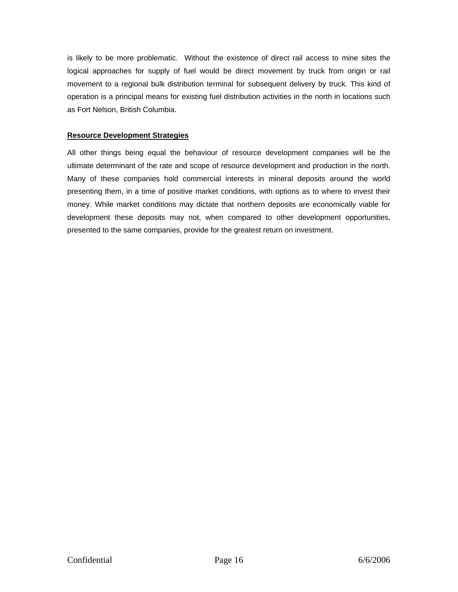<span id="page-15-0"></span>is likely to be more problematic. Without the existence of direct rail access to mine sites the logical approaches for supply of fuel would be direct movement by truck from origin or rail movement to a regional bulk distribution terminal for subsequent delivery by truck. This kind of operation is a principal means for existing fuel distribution activities in the north in locations such as Fort Nelson, British Columbia.

## **Resource Development Strategies**

All other things being equal the behaviour of resource development companies will be the ultimate determinant of the rate and scope of resource development and production in the north. Many of these companies hold commercial interests in mineral deposits around the world presenting them, in a time of positive market conditions, with options as to where to invest their money. While market conditions may dictate that northern deposits are economically viable for development these deposits may not, when compared to other development opportunities, presented to the same companies, provide for the greatest return on investment.